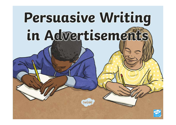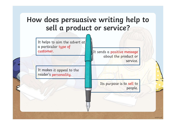

It helps to aim the advert at a particular type of customer.

It makes it appeal to the reader's personality.

Or Service?<br>It sends a positive message<br>about the product or about the product or service.

Its purpose is to sell to people.

twinkl.co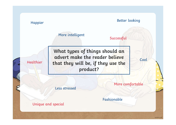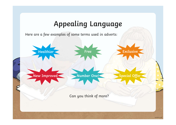## Appealing Language

Here are a few examples of some terms used in adverts:

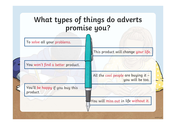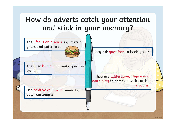## How do adverts catch your attention and stick in your memory?

They focus on a sense e.g. taste or yours and cater to it.

They use humour to make you like them.

Use positive comments made by other customers.

They ask questions to hook you in.

They use alliteration, rhyme and word play to come up with catchy slogans.

twinkl.c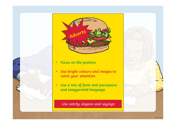



- Focus on the positive
- Use bright colours and images to catch your attention
- Use a mix of facts and persuasive and exaggerated language.

Use catchy slogans and sayings